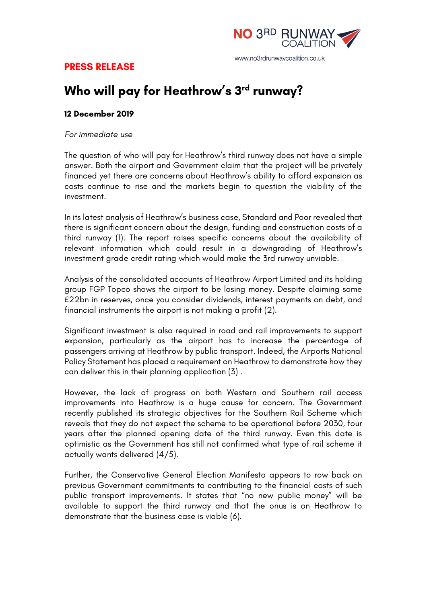

## **PRESS RELEASE**

# **Who will pay for Heathrow's 3rd runway?**

#### **12 December 2019**

#### *For immediate use*

The question of who will pay for Heathrow's third runway does not have a simple answer. Both the airport and Government claim that the project will be privately financed yet there are concerns about Heathrow's ability to afford expansion as costs continue to rise and the markets begin to question the viability of the investment.

In its latest analysis of Heathrow's business case, Standard and Poor revealed that there is significant concern about the design, funding and construction costs of a third runway (1). The report raises specific concerns about the availability of relevant information which could result in a downgrading of Heathrow's investment grade credit rating which would make the 3rd runway unviable.

Analysis of the consolidated accounts of Heathrow Airport Limited and its holding group FGP Topco shows the airport to be losing money. Despite claiming some £22bn in reserves, once you consider dividends, interest payments on debt, and financial instruments the airport is not making a profit (2).

Significant investment is also required in road and rail improvements to support expansion, particularly as the airport has to increase the percentage of passengers arriving at Heathrow by public transport. Indeed, the Airports National Policy Statement has placed a requirement on Heathrow to demonstrate how they can deliver this in their planning application (3) .

However, the lack of progress on both Western and Southern rail access improvements into Heathrow is a huge cause for concern. The Government recently published its strategic objectives for the Southern Rail Scheme which reveals that they do not expect the scheme to be operational before 2030, four years after the planned opening date of the third runway. Even this date is optimistic as the Government has still not confirmed what type of rail scheme it actually wants delivered (4/5).

Further, the Conservative General Election Manifesto appears to row back on previous Government commitments to contributing to the financial costs of such public transport improvements. It states that "no new public money" will be available to support the third runway and that the onus is on Heathrow to demonstrate that the business case is viable (6).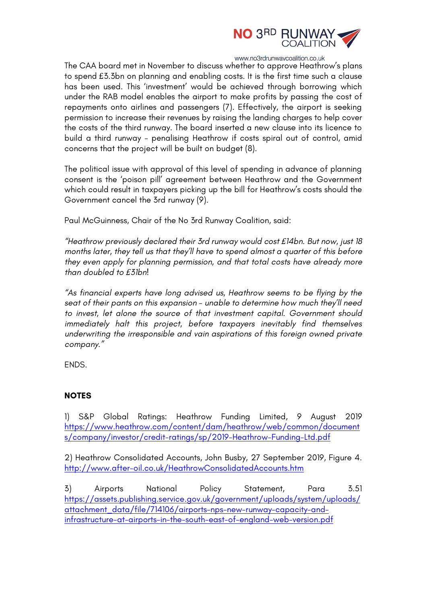

www.no3rdrunwaycoalition.co.uk

The CAA board met in November to discuss whether to approve Heathrow's plans to spend £3.3bn on planning and enabling costs. It is the first time such a clause has been used. This 'investment' would be achieved through borrowing which under the RAB model enables the airport to make profits by passing the cost of repayments onto airlines and passengers (7). Effectively, the airport is seeking permission to increase their revenues by raising the landing charges to help cover the costs of the third runway. The board inserted a new clause into its licence to build a third runway - penalising Heathrow if costs spiral out of control, amid concerns that the project will be built on budget (8).

The political issue with approval of this level of spending in advance of planning consent is the 'poison pill' agreement between Heathrow and the Government which could result in taxpayers picking up the bill for Heathrow's costs should the Government cancel the 3rd runway (9).

Paul McGuinness, Chair of the No 3rd Runway Coalition, said:

*"Heathrow previously declared their 3rd runway would cost £14bn. But now, just 18 months later, they tell us that they'll have to spend almost a quarter of this before they even apply for planning permission, and that total costs have already more than doubled to £31bn!* 

*"As financial experts have long advised us, Heathrow seems to be flying by the seat of their pants on this expansion - unable to determine how much they'll need to invest, let alone the source of that investment capital. Government should immediately halt this project, before taxpayers inevitably find themselves underwriting the irresponsible and vain aspirations of this foreign owned private company."*

ENDS.

### **NOTES**

1) S&P Global Ratings: Heathrow Funding Limited, 9 August 2019 https://www.heathrow.com/content/dam/heathrow/web/common/document s/company/investor/credit-ratings/sp/2019-Heathrow-Funding-Ltd.pdf

2) Heathrow Consolidated Accounts, John Busby, 27 September 2019, Figure 4. http://www.after-oil.co.uk/HeathrowConsolidatedAccounts.htm

3) Airports National Policy Statement, Para 3.51 https://assets.publishing.service.gov.uk/government/uploads/system/uploads/ attachment\_data/file/714106/airports-nps-new-runway-capacity-andinfrastructure-at-airports-in-the-south-east-of-england-web-version.pdf